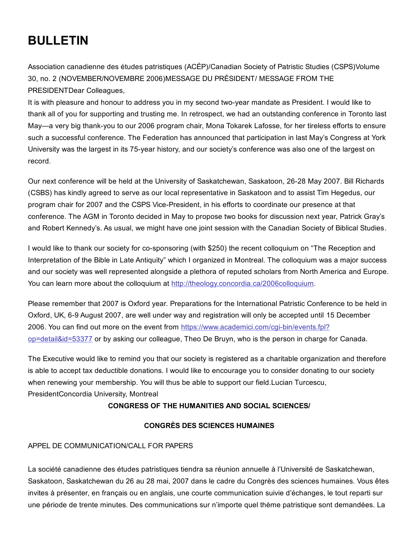# BULLETIN

Association canadienne des études patristiques (ACÉP)/Canadian Society of Patristic Studies (CSPS)Volume 30, no. 2 (NOVEMBER/NOVEMBRE 2006)MESSAGE DU PRÉSIDENT/ MESSAGE FROM THE PRESIDENTDear Colleagues,

It is with pleasure and honour to address you in my second two-year mandate as President. I would like to thank all of you for supporting and trusting me. In retrospect, we had an outstanding conference in Toronto last May—a very big thankyou to our 2006 program chair, Mona Tokarek Lafosse, for her tireless efforts to ensure such a successful conference. The Federation has announced that participation in last May's Congress at York University was the largest in its 75-year history, and our society's conference was also one of the largest on record.

Our next conference will be held at the University of Saskatchewan, Saskatoon, 2628 May 2007. Bill Richards (CSBS) has kindly agreed to serve as our local representative in Saskatoon and to assist Tim Hegedus, our program chair for 2007 and the CSPS Vice-President, in his efforts to coordinate our presence at that conference. The AGM in Toronto decided in May to propose two books for discussion next year, Patrick Gray's and Robert Kennedy's. As usual, we might have one joint session with the Canadian Society of Biblical Studies.

I would like to thank our society for co-sponsoring (with \$250) the recent colloquium on "The Reception and Interpretation of the Bible in Late Antiquity" which I organized in Montreal. The colloquium was a major success and our society was well represented alongside a plethora of reputed scholars from North America and Europe. You can learn more about the colloquium at [http://theology.concordia.ca/2006colloquium.](http://web.archive.org/web/20150131071234/http://theology.concordia.ca/2006colloquium)

Please remember that 2007 is Oxford year. Preparations for the International Patristic Conference to be held in Oxford, UK, 6-9 August 2007, are well under way and registration will only be accepted until 15 December 2006. You can find out more on the event from https://www.academici.com/cqi-bin/events.fpl? op=detail&id=53377 or by asking our colleague, Theo De Bruyn, who is the person in charge for Canada.

The Executive would like to remind you that our society is registered as a charitable organization and therefore is able to accept tax deductible donations. I would like to encourage you to consider donating to our society when renewing your membership. You will thus be able to support our field.Lucian Turcescu, PresidentConcordia University, Montreal

## CONGRESS OF THE HUMANITIES AND SOCIAL SCIENCES/

## CONGRÈS DES SCIENCES HUMAINES

## APPEL DE COMMUNICATION/CALL FOR PAPERS

La société canadienne des études patristiques tiendra sa réunion annuelle à l'Université de Saskatchewan, Saskatoon, Saskatchewan du 26 au 28 mai, 2007 dans le cadre du Congrès des sciences humaines. Vous êtes invites à présenter, en français ou en anglais, une courte communication suivie d'échanges, le tout reparti sur une période de trente minutes. Des communications sur n'importe quel thème patristique sont demandées. La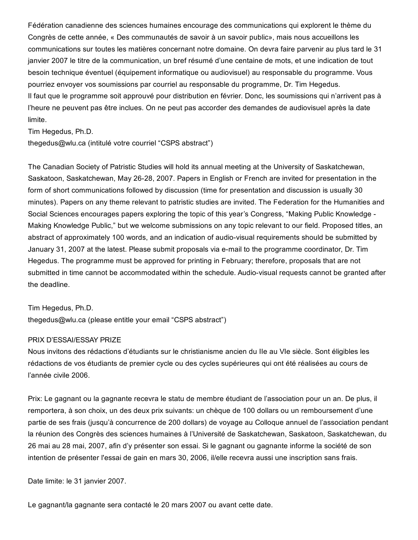Fédération canadienne des sciences humaines encourage des communications qui explorent le thème du Congrès de cette année, « Des communautés de savoir à un savoir public», mais nous accueillons les communications sur toutes les matières concernant notre domaine. On devra faire parvenir au plus tard le 31 janvier 2007 le titre de la communication, un bref résumé d'une centaine de mots, et une indication de tout besoin technique éventuel (équipement informatique ou audiovisuel) au responsable du programme. Vous pourriez envoyer vos soumissions par courriel au responsable du programme, Dr. Tim Hegedus. Il faut que le programme soit approuvé pour distribution en février. Donc, les soumissions qui n'arrivent pas à l'heure ne peuvent pas être inclues. On ne peut pas accorder des demandes de audiovisuel après la date limite.

Tim Hegedus, Ph.D.

thegedus@wlu.ca (intitulé votre courriel "CSPS abstract")

The Canadian Society of Patristic Studies will hold its annual meeting at the University of Saskatchewan, Saskatoon, Saskatchewan, May 26-28, 2007. Papers in English or French are invited for presentation in the form of short communications followed by discussion (time for presentation and discussion is usually 30 minutes). Papers on any theme relevant to patristic studies are invited. The Federation for the Humanities and Social Sciences encourages papers exploring the topic of this year's Congress, "Making Public Knowledge Making Knowledge Public," but we welcome submissions on any topic relevant to our field. Proposed titles, an abstract of approximately 100 words, and an indication of audio-visual requirements should be submitted by January 31, 2007 at the latest. Please submit proposals via e-mail to the programme coordinator, Dr. Tim Hegedus. The programme must be approved for printing in February; therefore, proposals that are not submitted in time cannot be accommodated within the schedule. Audio-visual requests cannot be granted after the deadline.

Tim Hegedus, Ph.D. thegedus@wlu.ca (please entitle your email "CSPS abstract")

#### PRIX D'ESSAI/ESSAY PRIZE

Nous invitons des rédactions d'étudiants sur le christianisme ancien du IIe au VIe siècle. Sont éligibles les rédactions de vos étudiants de premier cycle ou des cycles supérieures qui ont été réalisées au cours de l'année civile 2006.

Prix: Le gagnant ou la gagnante recevra le statu de membre étudiant de l'association pour un an. De plus, il remportera, à son choix, un des deux prix suivants: un chèque de 100 dollars ou un remboursement d'une partie de ses frais (jusqu'à concurrence de 200 dollars) de voyage au Colloque annuel de l'association pendant la réunion des Congrès des sciences humaines à l'Université de Saskatchewan, Saskatoon, Saskatchewan, du 26 mai au 28 mai, 2007, afin d'y présenter son essai. Si le gagnant ou gagnante informe la société de son intention de présenter l'essai de gain en mars 30, 2006, il/elle recevra aussi une inscription sans frais.

Date limite: le 31 janvier 2007.

Le gagnant/la gagnante sera contacté le 20 mars 2007 ou avant cette date.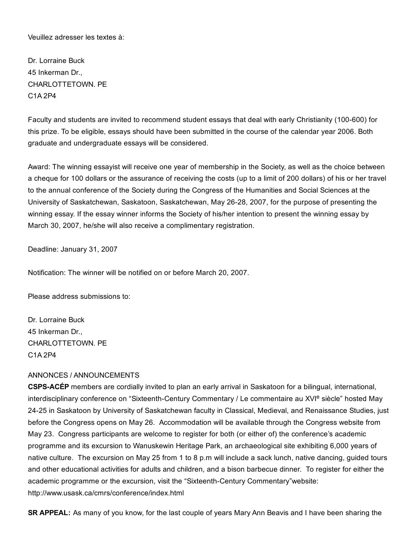Veuillez adresser les textes à:

Dr. Lorraine Buck 45 Inkerman Dr., CHARLOTTETOWN. PE C1A 2P4

Faculty and students are invited to recommend student essays that deal with early Christianity (100-600) for this prize. To be eligible, essays should have been submitted in the course of the calendar year 2006. Both graduate and undergraduate essays will be considered.

Award: The winning essayist will receive one year of membership in the Society, as well as the choice between a cheque for 100 dollars or the assurance of receiving the costs (up to a limit of 200 dollars) of his or her travel to the annual conference of the Society during the Congress of the Humanities and Social Sciences at the University of Saskatchewan, Saskatoon, Saskatchewan, May 26-28, 2007, for the purpose of presenting the winning essay. If the essay winner informs the Society of his/her intention to present the winning essay by March 30, 2007, he/she will also receive a complimentary registration.

Deadline: January 31, 2007

Notification: The winner will be notified on or before March 20, 2007.

Please address submissions to:

Dr. Lorraine Buck 45 Inkerman Dr., CHARLOTTETOWN. PE C1A 2P4

### ANNONCES / ANNOUNCEMENTS

CSPSACÉP members are cordially invited to plan an early arrival in Saskatoon for a bilingual, international, interdisciplinary conference on "Sixteenth-Century Commentary / Le commentaire au XVI<sup>e</sup> siècle" hosted May 2425 in Saskatoon by University of Saskatchewan faculty in Classical, Medieval, and Renaissance Studies, just before the Congress opens on May 26. Accommodation will be available through the Congress website from May 23. Congress participants are welcome to register for both (or either of) the conference's academic programme and its excursion to Wanuskewin Heritage Park, an archaeological site exhibiting 6,000 years of native culture. The excursion on May 25 from 1 to 8 p.m will include a sack lunch, native dancing, guided tours and other educational activities for adults and children, and a bison barbecue dinner. To register for either the academic programme or the excursion, visit the "Sixteenth-Century Commentary"website: http://www.usask.ca/cmrs/conference/index.html

SR APPEAL: As many of you know, for the last couple of years Mary Ann Beavis and I have been sharing the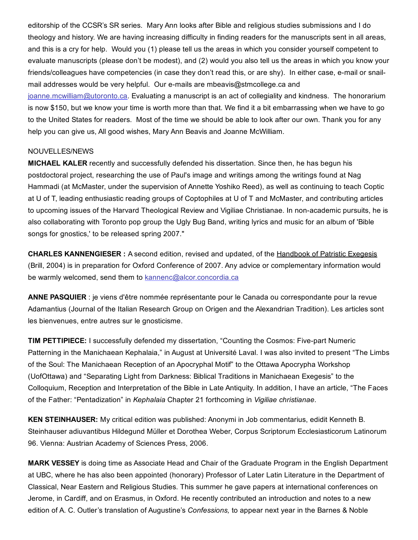editorship of the CCSR's SR series. Mary Ann looks after Bible and religious studies submissions and I do theology and history. We are having increasing difficulty in finding readers for the manuscripts sent in all areas, and this is a cry for help. Would you (1) please tell us the areas in which you consider yourself competent to evaluate manuscripts (please don't be modest), and (2) would you also tell us the areas in which you know your friends/colleagues have competencies (in case they don't read this, or are shy). In either case, e-mail or snailmail addresses would be very helpful. Our e-mails are mbeavis@stmcollege.ca and

[joanne.mcwilliam@utoronto.ca.](mailto:joanne.mcwilliam@utoronto.ca) Evaluating a manuscript is an act of collegiality and kindness. The honorarium is now \$150, but we know your time is worth more than that. We find it a bit embarrassing when we have to go to the United States for readers. Most of the time we should be able to look after our own. Thank you for any help you can give us, All good wishes, Mary Ann Beavis and Joanne McWilliam.

#### NOUVELLES/NEWS

MICHAEL KALER recently and successfully defended his dissertation. Since then, he has begun his postdoctoral project, researching the use of Paul's image and writings among the writings found at Nag Hammadi (at McMaster, under the supervision of Annette Yoshiko Reed), as well as continuing to teach Coptic at U of T, leading enthusiastic reading groups of Coptophiles at U of T and McMaster, and contributing articles to upcoming issues of the Harvard Theological Review and Vigiliae Christianae. In non-academic pursuits, he is also collaborating with Toronto pop group the Ugly Bug Band, writing lyrics and music for an album of 'Bible songs for gnostics,' to be released spring 2007."

CHARLES KANNENGIESER : A second edition, revised and updated, of the Handbook of Patristic Exegesis (Brill, 2004) is in preparation for Oxford Conference of 2007. Any advice or complementary information would be warmly welcomed, send them to [kannenc@alcor.concordia.ca](mailto:kannenc@alcor.concordia.ca)

ANNE PASQUIER : je viens d'être nommée représentante pour le Canada ou correspondante pour la revue Adamantius (Journal of the Italian Research Group on Origen and the Alexandrian Tradition). Les articles sont les bienvenues, entre autres sur le gnosticisme.

TIM PETTIPIECE: I successfully defended my dissertation, "Counting the Cosmos: Five-part Numeric Patterning in the Manichaean Kephalaia," in August at Université Laval. I was also invited to present "The Limbs of the Soul: The Manichaean Reception of an Apocryphal Motif" to the Ottawa Apocrypha Workshop (UofOttawa) and "Separating Light from Darkness: Biblical Traditions in Manichaean Exegesis" to the Colloquium, Reception and Interpretation of the Bible in Late Antiquity. In addition, I have an article, "The Faces of the Father: "Pentadization" in *Kephalaia* Chapter 21 forthcoming in *Vigiliae christianae*.

KEN STEINHAUSER: My critical edition was published: Anonymi in Job commentarius, edidit Kenneth B. Steinhauser adiuvantibus Hildegund Müller et Dorothea Weber, Corpus Scriptorum Ecclesiasticorum Latinorum 96. Vienna: Austrian Academy of Sciences Press, 2006.

MARK VESSEY is doing time as Associate Head and Chair of the Graduate Program in the English Department at UBC, where he has also been appointed (honorary) Professor of Later Latin Literature in the Department of Classical, Near Eastern and Religious Studies. This summer he gave papers at international conferences on Jerome, in Cardiff, and on Erasmus, in Oxford. He recently contributed an introduction and notes to a new edition of A. C. Outler's translation of Augustine's *Confessions,* to appear next year in the Barnes & Noble